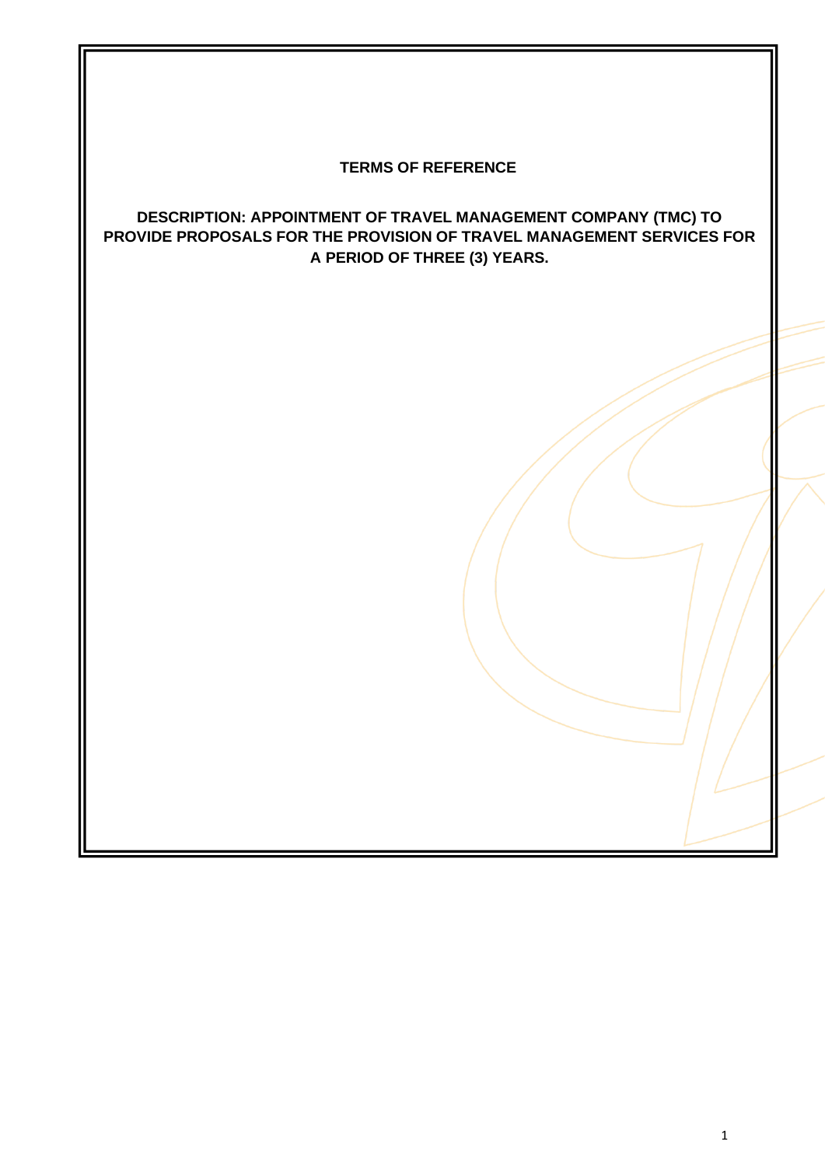# **TERMS OF REFERENCE**

# **DESCRIPTION: APPOINTMENT OF TRAVEL MANAGEMENT COMPANY (TMC) TO PROVIDE PROPOSALS FOR THE PROVISION OF TRAVEL MANAGEMENT SERVICES FOR A PERIOD OF THREE (3) YEARS.**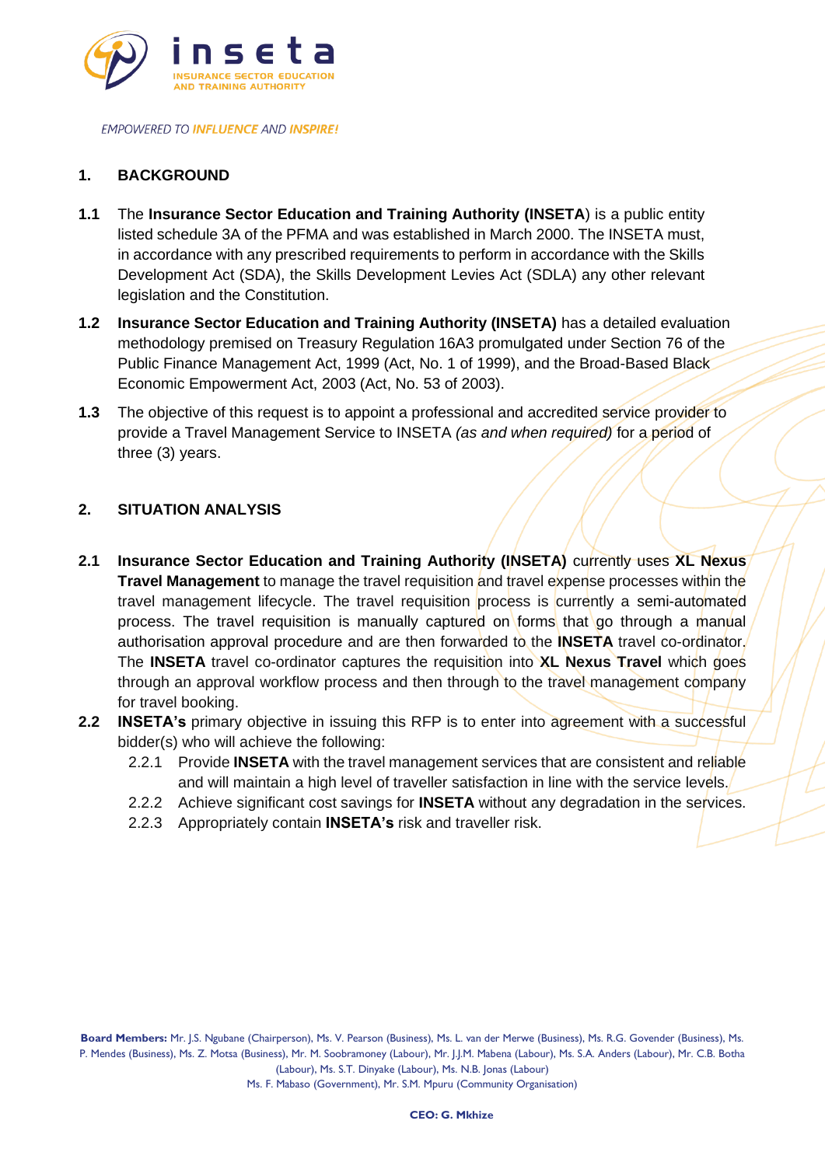

# **1. BACKGROUND**

- **1.1** The **Insurance Sector Education and Training Authority (INSETA**) is a public entity listed schedule 3A of the PFMA and was established in March 2000. The INSETA must, in accordance with any prescribed requirements to perform in accordance with the Skills Development Act (SDA), the Skills Development Levies Act (SDLA) any other relevant legislation and the Constitution.
- **1.2 Insurance Sector Education and Training Authority (INSETA)** has a detailed evaluation methodology premised on Treasury Regulation 16A3 promulgated under Section 76 of the Public Finance Management Act, 1999 (Act, No. 1 of 1999), and the Broad-Based Black Economic Empowerment Act, 2003 (Act, No. 53 of 2003).
- **1.3** The objective of this request is to appoint a professional and accredited service provider to provide a Travel Management Service to INSETA *(as and when required)* for a period of three (3) years.

## **2. SITUATION ANALYSIS**

- **2.1 Insurance Sector Education and Training Authority (INSETA)** currently uses **XL Nexus Travel Management** to manage the travel requisition and travel expense processes within the travel management lifecycle. The travel requisition process is currently a semi-automated process. The travel requisition is manually captured on forms that go through a manual authorisation approval procedure and are then forwarded to the **INSETA** travel co-ordinator. The **INSETA** travel co-ordinator captures the requisition into **XL Nexus Travel** which goes through an approval workflow process and then through to the travel management company for travel booking.
- **2.2 INSETA's** primary objective in issuing this RFP is to enter into agreement with a successful bidder(s) who will achieve the following:
	- 2.2.1 Provide **INSETA** with the travel management services that are consistent and reliable and will maintain a high level of traveller satisfaction in line with the service levels.
	- 2.2.2 Achieve significant cost savings for **INSETA** without any degradation in the services.
	- 2.2.3 Appropriately contain **INSETA's** risk and traveller risk.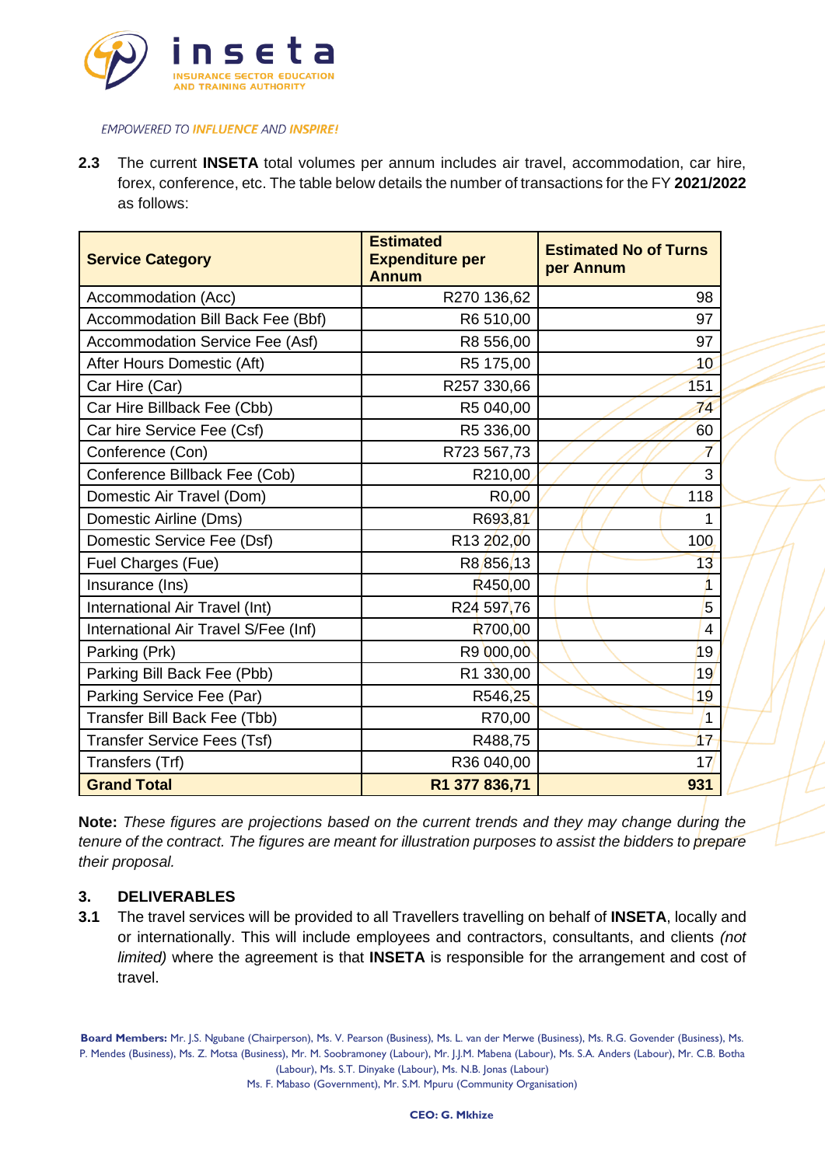

**2.3** The current **INSETA** total volumes per annum includes air travel, accommodation, car hire, forex, conference, etc. The table below details the number of transactions for the FY **2021/2022** as follows:

| <b>Service Category</b>              | <b>Estimated</b><br><b>Expenditure per</b><br><b>Annum</b> | <b>Estimated No of Turns</b><br>per Annum |
|--------------------------------------|------------------------------------------------------------|-------------------------------------------|
| Accommodation (Acc)                  | R270 136,62                                                | 98                                        |
| Accommodation Bill Back Fee (Bbf)    | R6 510,00                                                  | 97                                        |
| Accommodation Service Fee (Asf)      | R8 556,00                                                  | 97                                        |
| After Hours Domestic (Aft)           | R5 175,00                                                  | $+0$                                      |
| Car Hire (Car)                       | R257 330,66                                                | 151                                       |
| Car Hire Billback Fee (Cbb)          | R5 040,00                                                  | 74                                        |
| Car hire Service Fee (Csf)           | R5 336,00                                                  | 60                                        |
| Conference (Con)                     | R723 567,73                                                | 7                                         |
| Conference Billback Fee (Cob)        | R210,00                                                    | 3                                         |
| Domestic Air Travel (Dom)            | R <sub>0</sub> ,00                                         | 118                                       |
| Domestic Airline (Dms)               | R693,81                                                    | $\mathbf{1}$                              |
| Domestic Service Fee (Dsf)           | R <sub>13</sub> 202,00                                     | 100                                       |
| Fuel Charges (Fue)                   | R8856,13                                                   | 13                                        |
| Insurance (Ins)                      | R <sub>450</sub> ,00                                       | 1                                         |
| International Air Travel (Int)       | R24 597,76                                                 | 5                                         |
| International Air Travel S/Fee (Inf) | R700,00                                                    | 4                                         |
| Parking (Prk)                        | R9 000,00                                                  | 19                                        |
| Parking Bill Back Fee (Pbb)          | R1 330,00                                                  | 19                                        |
| Parking Service Fee (Par)            | R546,25                                                    | 19                                        |
| Transfer Bill Back Fee (Tbb)         | R70,00                                                     | $\overline{1}$                            |
| <b>Transfer Service Fees (Tsf)</b>   | R488,75                                                    | 17                                        |
| Transfers (Trf)                      | R36 040,00                                                 | 17                                        |
| <b>Grand Total</b>                   | R1 377 836,71                                              | 931                                       |

**Note:** *These figures are projections based on the current trends and they may change during the tenure of the contract. The figures are meant for illustration purposes to assist the bidders to prepare their proposal.*

## **3. DELIVERABLES**

**3.1** The travel services will be provided to all Travellers travelling on behalf of **INSETA**, locally and or internationally. This will include employees and contractors, consultants, and clients *(not limited)* where the agreement is that **INSETA** is responsible for the arrangement and cost of travel.

**Board Members:** Mr. J.S. Ngubane (Chairperson), Ms. V. Pearson (Business), Ms. L. van der Merwe (Business), Ms. R.G. Govender (Business), Ms. P. Mendes (Business), Ms. Z. Motsa (Business), Mr. M. Soobramoney (Labour), Mr. J.J.M. Mabena (Labour), Ms. S.A. Anders (Labour), Mr. C.B. Botha (Labour), Ms. S.T. Dinyake (Labour), Ms. N.B. Jonas (Labour)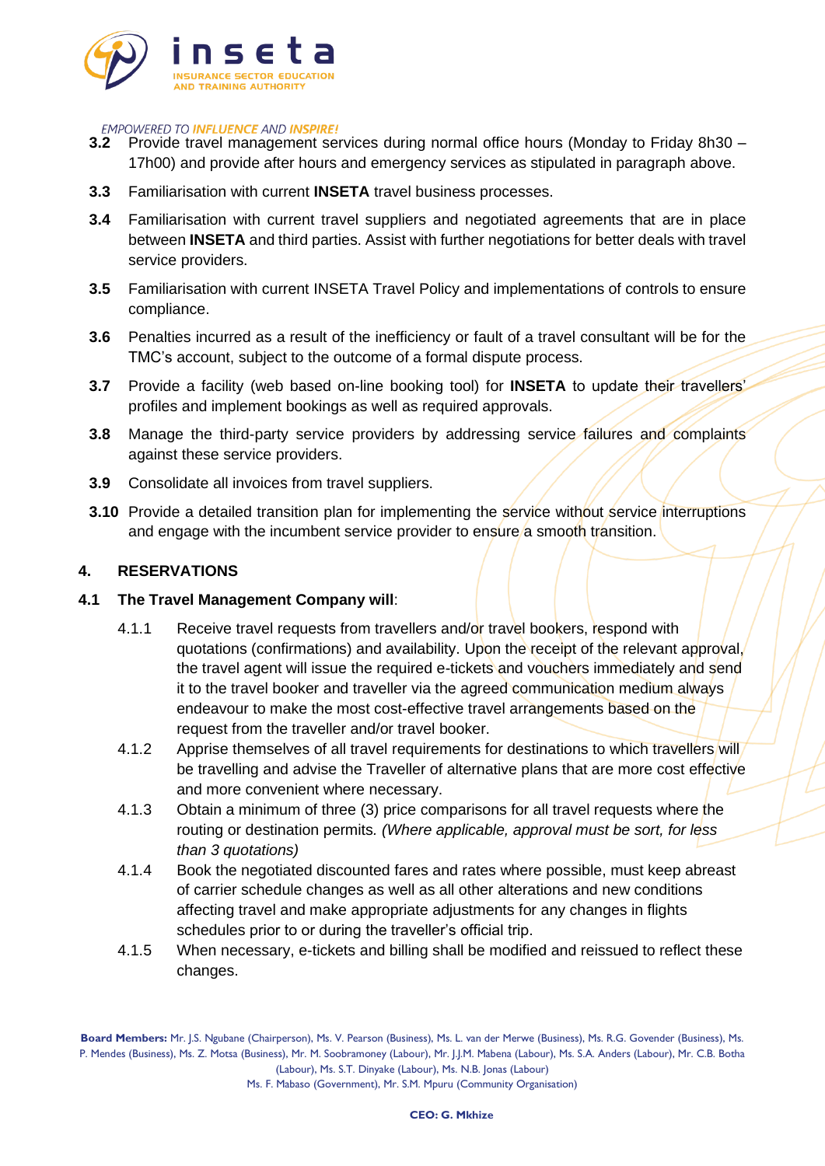

- **3.2** Provide travel management services during normal office hours (Monday to Friday 8h30 17h00) and provide after hours and emergency services as stipulated in paragraph above.
- **3.3** Familiarisation with current **INSETA** travel business processes.
- **3.4** Familiarisation with current travel suppliers and negotiated agreements that are in place between **INSETA** and third parties. Assist with further negotiations for better deals with travel service providers.
- **3.5** Familiarisation with current INSETA Travel Policy and implementations of controls to ensure compliance.
- **3.6** Penalties incurred as a result of the inefficiency or fault of a travel consultant will be for the TMC's account, subject to the outcome of a formal dispute process.
- **3.7** Provide a facility (web based on-line booking tool) for **INSETA** to update their travellers' profiles and implement bookings as well as required approvals.
- **3.8** Manage the third-party service providers by addressing service failures and complaints against these service providers.
- **3.9** Consolidate all invoices from travel suppliers.
- **3.10** Provide a detailed transition plan for implementing the service without service interruptions and engage with the incumbent service provider to ensure a smooth transition.

## **4. RESERVATIONS**

## **4.1 The Travel Management Company will**:

- 4.1.1 Receive travel requests from travellers and/or travel bookers, respond with quotations (confirmations) and availability. Upon the receipt of the relevant approval, the travel agent will issue the required e-tickets and vouchers immediately and send it to the travel booker and traveller via the agreed communication medium always endeavour to make the most cost-effective travel arrangements based on the request from the traveller and/or travel booker.
- 4.1.2 Apprise themselves of all travel requirements for destinations to which travellers will be travelling and advise the Traveller of alternative plans that are more cost effective and more convenient where necessary.
- 4.1.3 Obtain a minimum of three (3) price comparisons for all travel requests where the routing or destination permits*. (Where applicable, approval must be sort, for less than 3 quotations)*
- 4.1.4 Book the negotiated discounted fares and rates where possible, must keep abreast of carrier schedule changes as well as all other alterations and new conditions affecting travel and make appropriate adjustments for any changes in flights schedules prior to or during the traveller's official trip.
- 4.1.5 When necessary, e-tickets and billing shall be modified and reissued to reflect these changes.

**Board Members:** Mr. J.S. Ngubane (Chairperson), Ms. V. Pearson (Business), Ms. L. van der Merwe (Business), Ms. R.G. Govender (Business), Ms. P. Mendes (Business), Ms. Z. Motsa (Business), Mr. M. Soobramoney (Labour), Mr. J.J.M. Mabena (Labour), Ms. S.A. Anders (Labour), Mr. C.B. Botha (Labour), Ms. S.T. Dinyake (Labour), Ms. N.B. Jonas (Labour)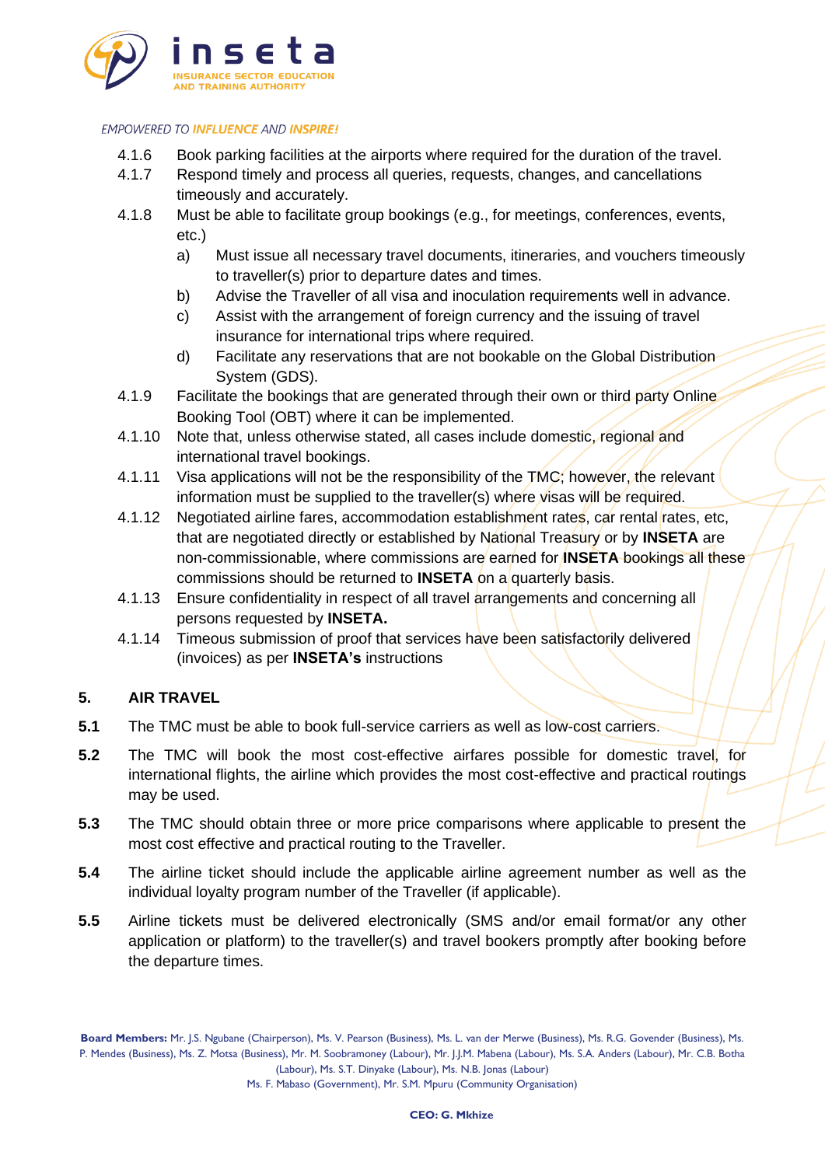

- 4.1.6 Book parking facilities at the airports where required for the duration of the travel.
- 4.1.7 Respond timely and process all queries, requests, changes, and cancellations timeously and accurately.
- 4.1.8 Must be able to facilitate group bookings (e.g., for meetings, conferences, events, etc.)
	- a) Must issue all necessary travel documents, itineraries, and vouchers timeously to traveller(s) prior to departure dates and times.
	- b) Advise the Traveller of all visa and inoculation requirements well in advance.
	- c) Assist with the arrangement of foreign currency and the issuing of travel insurance for international trips where required.
	- d) Facilitate any reservations that are not bookable on the Global Distribution System (GDS).
- 4.1.9 Facilitate the bookings that are generated through their own or third party Online Booking Tool (OBT) where it can be implemented.
- 4.1.10 Note that, unless otherwise stated, all cases include domestic, regional and international travel bookings.
- 4.1.11 Visa applications will not be the responsibility of the TMC; however, the relevant information must be supplied to the traveller(s) where visas will be required.
- 4.1.12 Negotiated airline fares, accommodation establishment rates, car rental rates, etc, that are negotiated directly or established by National Treasury or by **INSETA** are non-commissionable, where commissions are earned for **INSETA** bookings all these commissions should be returned to **INSETA** on a quarterly basis.
- 4.1.13 Ensure confidentiality in respect of all travel arrangements and concerning all persons requested by **INSETA.**
- 4.1.14 Timeous submission of proof that services have been satisfactorily delivered (invoices) as per **INSETA's** instructions

# **5. AIR TRAVEL**

- **5.1** The TMC must be able to book full-service carriers as well as low-cost carriers.
- **5.2** The TMC will book the most cost-effective airfares possible for domestic travel, for international flights, the airline which provides the most cost-effective and practical routings may be used.
- **5.3** The TMC should obtain three or more price comparisons where applicable to present the most cost effective and practical routing to the Traveller.
- **5.4** The airline ticket should include the applicable airline agreement number as well as the individual loyalty program number of the Traveller (if applicable).
- **5.5** Airline tickets must be delivered electronically (SMS and/or email format/or any other application or platform) to the traveller(s) and travel bookers promptly after booking before the departure times.

**Board Members:** Mr. J.S. Ngubane (Chairperson), Ms. V. Pearson (Business), Ms. L. van der Merwe (Business), Ms. R.G. Govender (Business), Ms. P. Mendes (Business), Ms. Z. Motsa (Business), Mr. M. Soobramoney (Labour), Mr. J.J.M. Mabena (Labour), Ms. S.A. Anders (Labour), Mr. C.B. Botha (Labour), Ms. S.T. Dinyake (Labour), Ms. N.B. Jonas (Labour)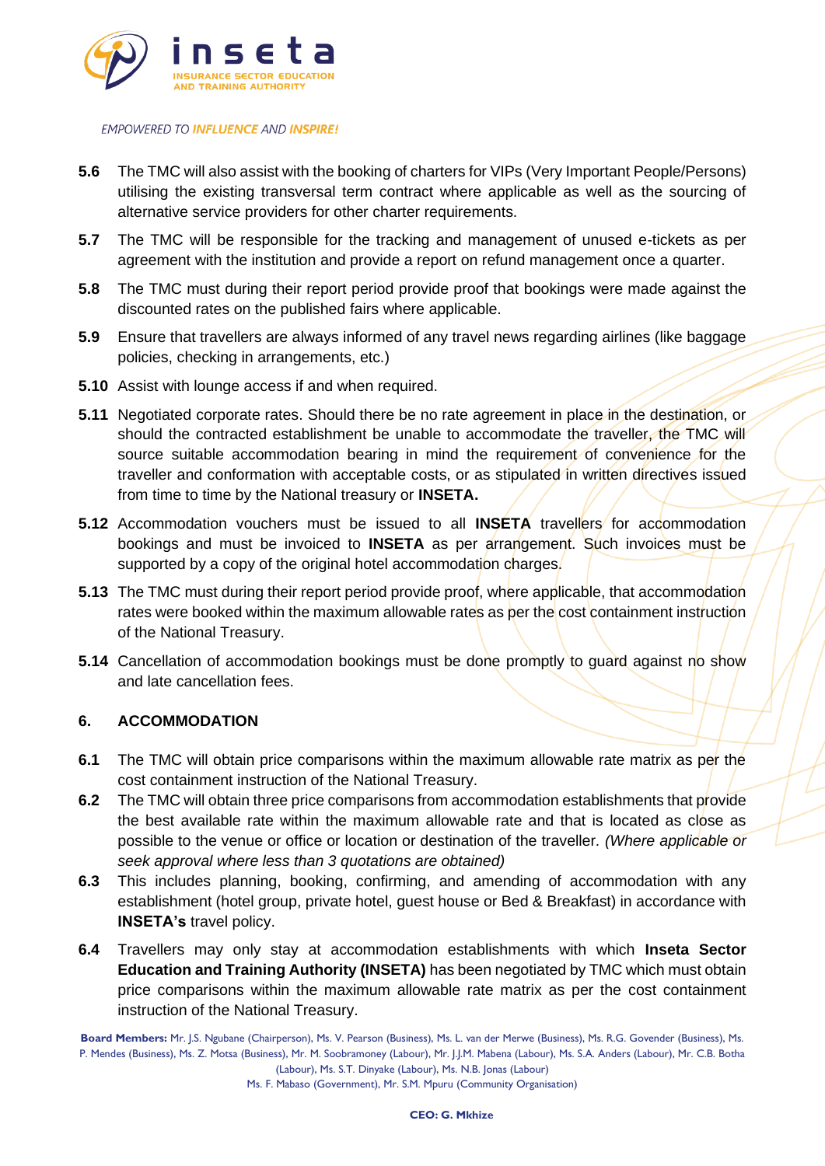

- **5.6** The TMC will also assist with the booking of charters for VIPs (Very Important People/Persons) utilising the existing transversal term contract where applicable as well as the sourcing of alternative service providers for other charter requirements.
- **5.7** The TMC will be responsible for the tracking and management of unused e-tickets as per agreement with the institution and provide a report on refund management once a quarter.
- **5.8** The TMC must during their report period provide proof that bookings were made against the discounted rates on the published fairs where applicable.
- **5.9** Ensure that travellers are always informed of any travel news regarding airlines (like baggage policies, checking in arrangements, etc.)
- **5.10** Assist with lounge access if and when required.
- **5.11** Negotiated corporate rates. Should there be no rate agreement in place in the destination, or should the contracted establishment be unable to accommodate the traveller, the TMC will source suitable accommodation bearing in mind the requirement of convenience for the traveller and conformation with acceptable costs, or as stipulated in written directives issued from time to time by the National treasury or **INSETA.**
- **5.12** Accommodation vouchers must be issued to all **INSETA** travellers for accommodation bookings and must be invoiced to **INSETA** as per arrangement. Such invoices must be supported by a copy of the original hotel accommodation charges.
- **5.13** The TMC must during their report period provide proof, where applicable, that accommodation rates were booked within the maximum allowable rates as per the cost containment instruction of the National Treasury.
- **5.14** Cancellation of accommodation bookings must be done promptly to guard against no show and late cancellation fees.

### **6. ACCOMMODATION**

- **6.1** The TMC will obtain price comparisons within the maximum allowable rate matrix as per the cost containment instruction of the National Treasury.
- **6.2** The TMC will obtain three price comparisons from accommodation establishments that provide the best available rate within the maximum allowable rate and that is located as close as possible to the venue or office or location or destination of the traveller*. (Where applicable or seek approval where less than 3 quotations are obtained)*
- **6.3** This includes planning, booking, confirming, and amending of accommodation with any establishment (hotel group, private hotel, guest house or Bed & Breakfast) in accordance with **INSETA's** travel policy.
- **6.4** Travellers may only stay at accommodation establishments with which **Inseta Sector Education and Training Authority (INSETA)** has been negotiated by TMC which must obtain price comparisons within the maximum allowable rate matrix as per the cost containment instruction of the National Treasury.

**Board Members:** Mr. J.S. Ngubane (Chairperson), Ms. V. Pearson (Business), Ms. L. van der Merwe (Business), Ms. R.G. Govender (Business), Ms. P. Mendes (Business), Ms. Z. Motsa (Business), Mr. M. Soobramoney (Labour), Mr. J.J.M. Mabena (Labour), Ms. S.A. Anders (Labour), Mr. C.B. Botha (Labour), Ms. S.T. Dinyake (Labour), Ms. N.B. Jonas (Labour)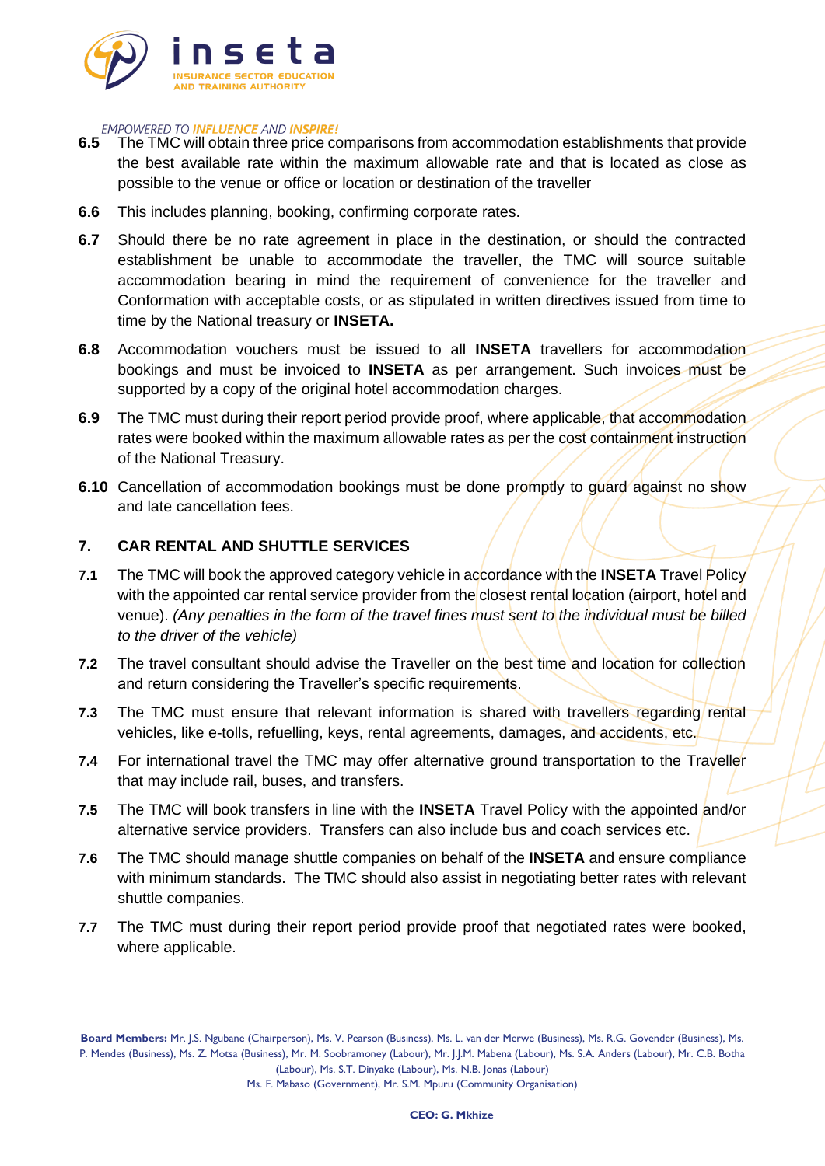

- **6.5** The TMC will obtain three price comparisons from accommodation establishments that provide the best available rate within the maximum allowable rate and that is located as close as possible to the venue or office or location or destination of the traveller
- **6.6** This includes planning, booking, confirming corporate rates.
- **6.7** Should there be no rate agreement in place in the destination, or should the contracted establishment be unable to accommodate the traveller, the TMC will source suitable accommodation bearing in mind the requirement of convenience for the traveller and Conformation with acceptable costs, or as stipulated in written directives issued from time to time by the National treasury or **INSETA.**
- **6.8** Accommodation vouchers must be issued to all **INSETA** travellers for accommodation bookings and must be invoiced to **INSETA** as per arrangement. Such invoices must be supported by a copy of the original hotel accommodation charges.
- **6.9** The TMC must during their report period provide proof, where applicable, that accommodation rates were booked within the maximum allowable rates as per the cost containment instruction of the National Treasury.
- **6.10** Cancellation of accommodation bookings must be done promptly to guard against no show and late cancellation fees.

#### **7. CAR RENTAL AND SHUTTLE SERVICES**

- **7.1** The TMC will book the approved category vehicle in accordance with the **INSETA** Travel Policy with the appointed car rental service provider from the closest rental location (airport, hotel and venue). *(Any penalties in the form of the travel fines must sent to the individual must be billed to the driver of the vehicle)*
- **7.2** The travel consultant should advise the Traveller on the best time and location for collection and return considering the Traveller's specific requirements.
- **7.3** The TMC must ensure that relevant information is shared with travellers regarding rental vehicles, like e-tolls, refuelling, keys, rental agreements, damages, and accidents, etc.
- **7.4** For international travel the TMC may offer alternative ground transportation to the Traveller that may include rail, buses, and transfers.
- **7.5** The TMC will book transfers in line with the **INSETA** Travel Policy with the appointed and/or alternative service providers. Transfers can also include bus and coach services etc.
- **7.6** The TMC should manage shuttle companies on behalf of the **INSETA** and ensure compliance with minimum standards. The TMC should also assist in negotiating better rates with relevant shuttle companies.
- **7.7** The TMC must during their report period provide proof that negotiated rates were booked, where applicable.

**Board Members:** Mr. J.S. Ngubane (Chairperson), Ms. V. Pearson (Business), Ms. L. van der Merwe (Business), Ms. R.G. Govender (Business), Ms. P. Mendes (Business), Ms. Z. Motsa (Business), Mr. M. Soobramoney (Labour), Mr. J.J.M. Mabena (Labour), Ms. S.A. Anders (Labour), Mr. C.B. Botha (Labour), Ms. S.T. Dinyake (Labour), Ms. N.B. Jonas (Labour)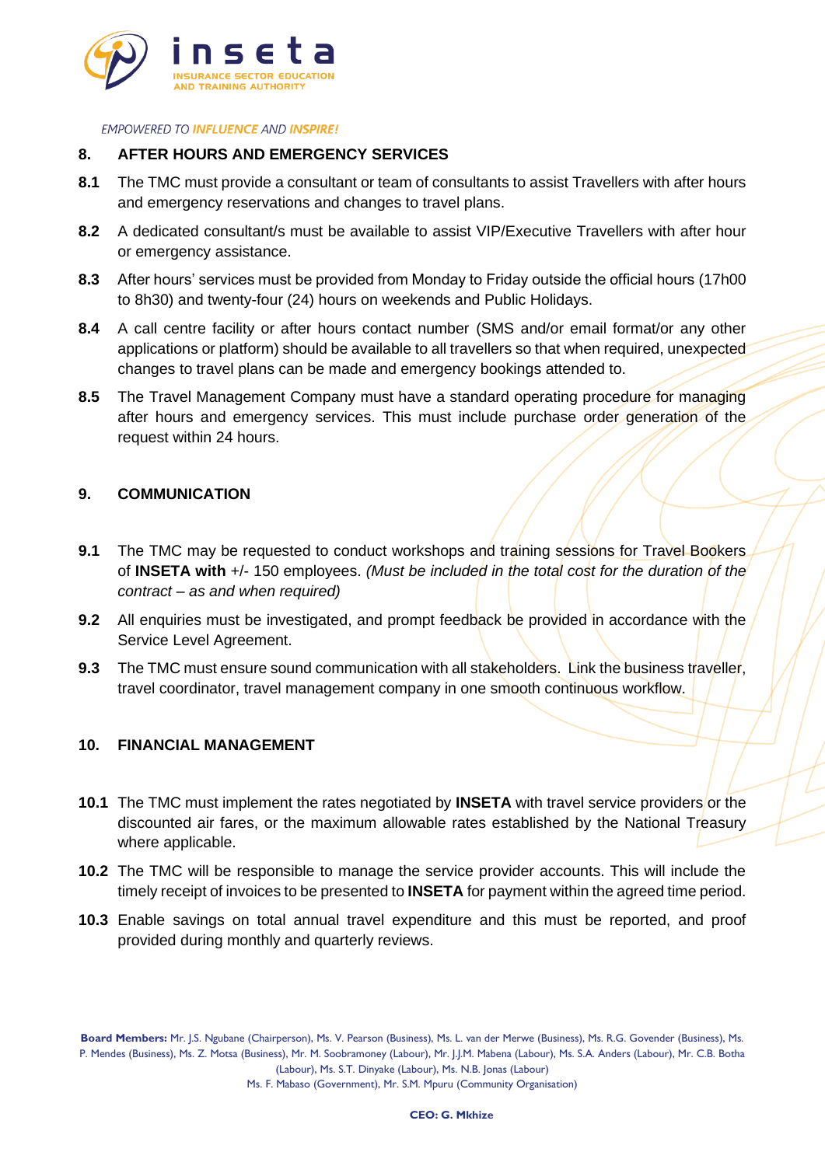

## **8. AFTER HOURS AND EMERGENCY SERVICES**

- **8.1** The TMC must provide a consultant or team of consultants to assist Travellers with after hours and emergency reservations and changes to travel plans.
- **8.2** A dedicated consultant/s must be available to assist VIP/Executive Travellers with after hour or emergency assistance.
- **8.3** After hours' services must be provided from Monday to Friday outside the official hours (17h00 to 8h30) and twenty-four (24) hours on weekends and Public Holidays.
- **8.4** A call centre facility or after hours contact number (SMS and/or email format/or any other applications or platform) should be available to all travellers so that when required, unexpected changes to travel plans can be made and emergency bookings attended to.
- **8.5** The Travel Management Company must have a standard operating procedure for managing after hours and emergency services. This must include purchase order generation of the request within 24 hours.

## **9. COMMUNICATION**

- **9.1** The TMC may be requested to conduct workshops and training sessions for Travel Bookers of **INSETA with** +/- 150 employees. *(Must be included in the total cost for the duration of the contract – as and when required)*
- **9.2** All enquiries must be investigated, and prompt feedback be provided in accordance with the Service Level Agreement.
- **9.3** The TMC must ensure sound communication with all stakeholders. Link the business traveller, travel coordinator, travel management company in one smooth continuous workflow.

## **10. FINANCIAL MANAGEMENT**

- **10.1** The TMC must implement the rates negotiated by **INSETA** with travel service providers or the discounted air fares, or the maximum allowable rates established by the National Treasury where applicable.
- **10.2** The TMC will be responsible to manage the service provider accounts. This will include the timely receipt of invoices to be presented to **INSETA** for payment within the agreed time period.
- **10.3** Enable savings on total annual travel expenditure and this must be reported, and proof provided during monthly and quarterly reviews.

**Board Members:** Mr. J.S. Ngubane (Chairperson), Ms. V. Pearson (Business), Ms. L. van der Merwe (Business), Ms. R.G. Govender (Business), Ms. P. Mendes (Business), Ms. Z. Motsa (Business), Mr. M. Soobramoney (Labour), Mr. J.J.M. Mabena (Labour), Ms. S.A. Anders (Labour), Mr. C.B. Botha (Labour), Ms. S.T. Dinyake (Labour), Ms. N.B. Jonas (Labour)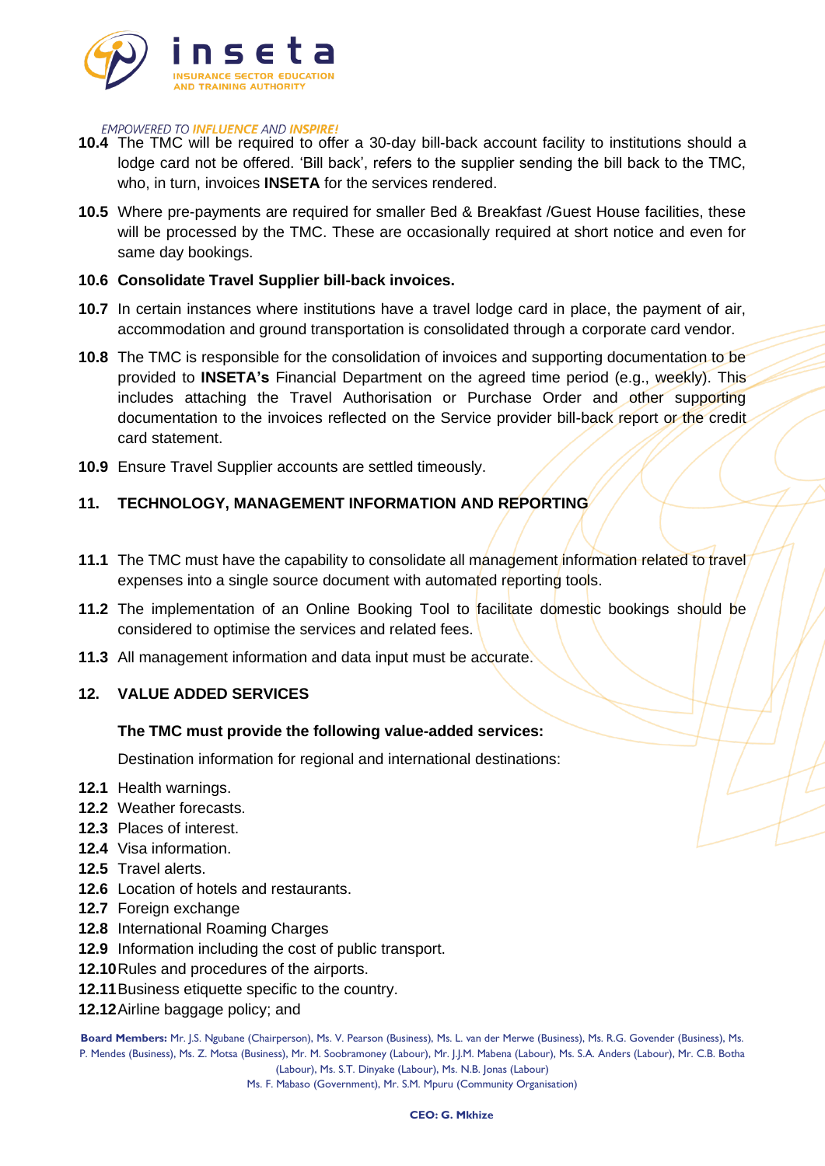

- **10.4** The TMC will be required to offer a 30-day bill-back account facility to institutions should a lodge card not be offered. 'Bill back', refers to the supplier sending the bill back to the TMC, who, in turn, invoices **INSETA** for the services rendered.
- **10.5** Where pre-payments are required for smaller Bed & Breakfast /Guest House facilities, these will be processed by the TMC. These are occasionally required at short notice and even for same day bookings.

#### **10.6 Consolidate Travel Supplier bill-back invoices.**

- **10.7** In certain instances where institutions have a travel lodge card in place, the payment of air, accommodation and ground transportation is consolidated through a corporate card vendor.
- **10.8** The TMC is responsible for the consolidation of invoices and supporting documentation to be provided to **INSETA's** Financial Department on the agreed time period (e.g., weekly). This includes attaching the Travel Authorisation or Purchase Order and other supporting documentation to the invoices reflected on the Service provider bill-back report or the credit card statement.
- **10.9** Ensure Travel Supplier accounts are settled timeously.

## **11. TECHNOLOGY, MANAGEMENT INFORMATION AND REPORTING**

- **11.1** The TMC must have the capability to consolidate all management information related to travel expenses into a single source document with automated reporting tools.
- **11.2** The implementation of an Online Booking Tool to facilitate domestic bookings should be considered to optimise the services and related fees.
- **11.3** All management information and data input must be accurate.

## **12. VALUE ADDED SERVICES**

#### **The TMC must provide the following value-added services:**

Destination information for regional and international destinations:

- **12.1** Health warnings.
- **12.2** Weather forecasts.
- **12.3** Places of interest.
- **12.4** Visa information.
- **12.5** Travel alerts.
- **12.6** Location of hotels and restaurants.
- **12.7** Foreign exchange
- **12.8** International Roaming Charges
- **12.9** Information including the cost of public transport.
- **12.10**Rules and procedures of the airports.
- **12.11**Business etiquette specific to the country.
- **12.12**Airline baggage policy; and

**Board Members:** Mr. J.S. Ngubane (Chairperson), Ms. V. Pearson (Business), Ms. L. van der Merwe (Business), Ms. R.G. Govender (Business), Ms. P. Mendes (Business), Ms. Z. Motsa (Business), Mr. M. Soobramoney (Labour), Mr. J.J.M. Mabena (Labour), Ms. S.A. Anders (Labour), Mr. C.B. Botha (Labour), Ms. S.T. Dinyake (Labour), Ms. N.B. Jonas (Labour)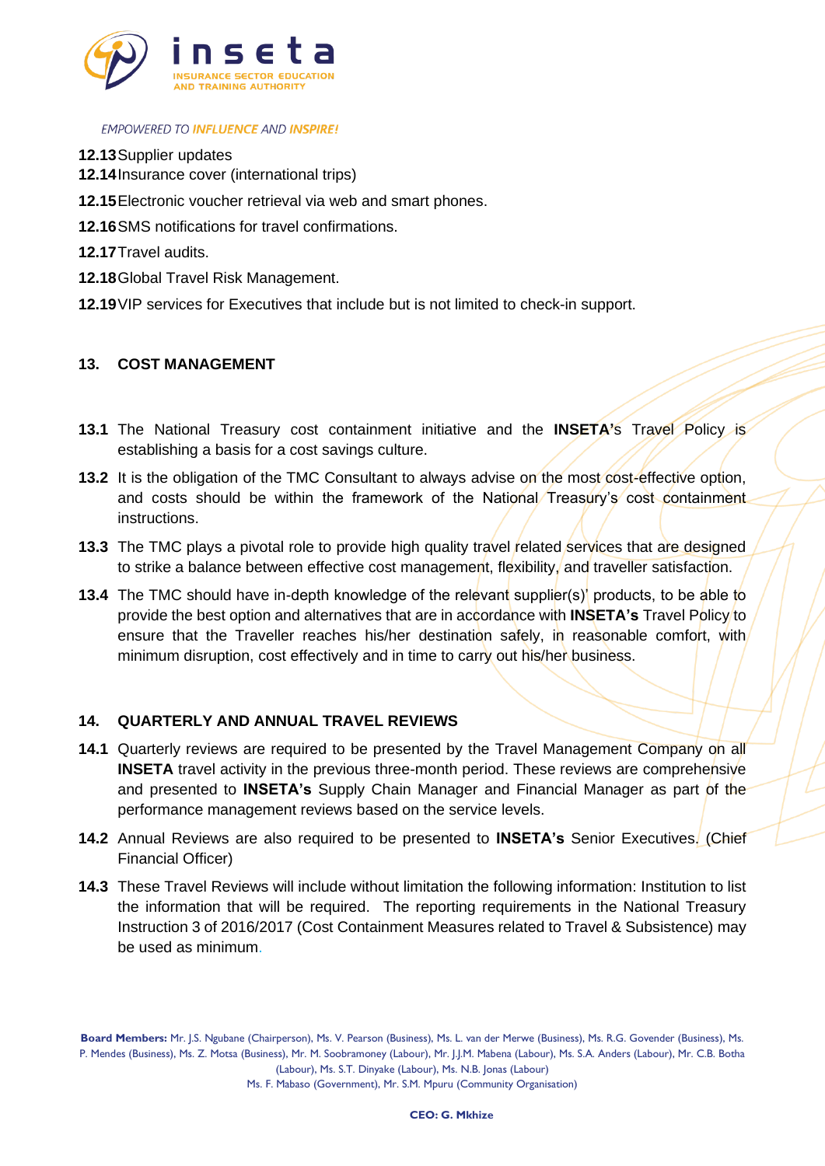

- **12.13**Supplier updates
- **12.14**Insurance cover (international trips)
- **12.15**Electronic voucher retrieval via web and smart phones.
- **12.16**SMS notifications for travel confirmations.
- **12.17**Travel audits.
- **12.18**Global Travel Risk Management.
- **12.19**VIP services for Executives that include but is not limited to check-in support.

## **13. COST MANAGEMENT**

- **13.1** The National Treasury cost containment initiative and the **INSETA's** Travel Policy is establishing a basis for a cost savings culture.
- **13.2** It is the obligation of the TMC Consultant to always advise on the most cost-effective option, and costs should be within the framework of the National Treasury's cost containment instructions.
- **13.3** The TMC plays a pivotal role to provide high quality travel related services that are designed to strike a balance between effective cost management, flexibility, and traveller satisfaction.
- **13.4** The TMC should have in-depth knowledge of the relevant supplier(s)' products, to be able to provide the best option and alternatives that are in accordance with **INSETA's** Travel Policy to ensure that the Traveller reaches his/her destination safely, in reasonable comfort, with minimum disruption, cost effectively and in time to carry out his/her business.

## **14. QUARTERLY AND ANNUAL TRAVEL REVIEWS**

- **14.1** Quarterly reviews are required to be presented by the Travel Management Company on all **INSETA** travel activity in the previous three-month period. These reviews are comprehensive and presented to **INSETA's** Supply Chain Manager and Financial Manager as part of the performance management reviews based on the service levels.
- **14.2** Annual Reviews are also required to be presented to **INSETA's** Senior Executives. (Chief Financial Officer)
- **14.3** These Travel Reviews will include without limitation the following information: Institution to list the information that will be required. The reporting requirements in the National Treasury Instruction 3 of 2016/2017 (Cost Containment Measures related to Travel & Subsistence) may be used as minimum.

**Board Members:** Mr. J.S. Ngubane (Chairperson), Ms. V. Pearson (Business), Ms. L. van der Merwe (Business), Ms. R.G. Govender (Business), Ms. P. Mendes (Business), Ms. Z. Motsa (Business), Mr. M. Soobramoney (Labour), Mr. J.J.M. Mabena (Labour), Ms. S.A. Anders (Labour), Mr. C.B. Botha (Labour), Ms. S.T. Dinyake (Labour), Ms. N.B. Jonas (Labour)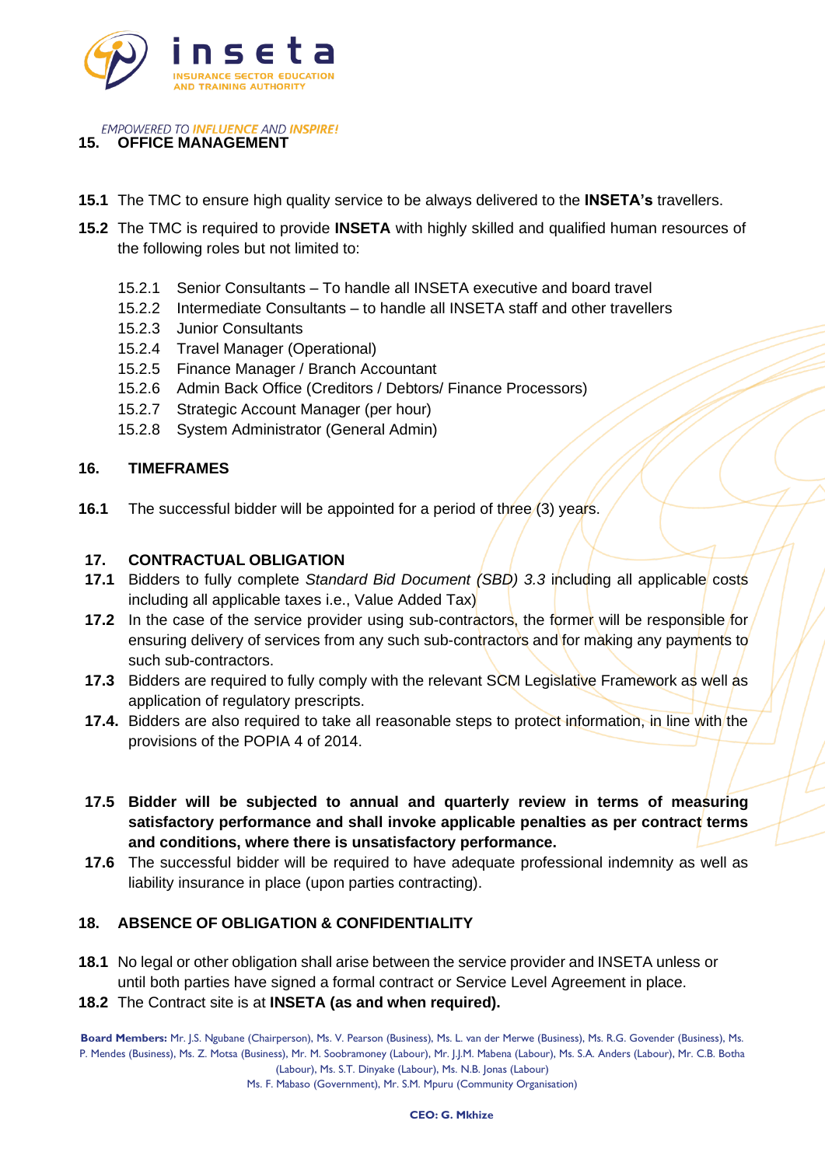

**EMPOWERED TO INFLUENCE AND INSPIRE! 15. OFFICE MANAGEMENT**

- **15.1** The TMC to ensure high quality service to be always delivered to the **INSETA's** travellers.
- **15.2** The TMC is required to provide **INSETA** with highly skilled and qualified human resources of the following roles but not limited to:
	- 15.2.1 Senior Consultants To handle all INSETA executive and board travel
	- 15.2.2 Intermediate Consultants to handle all INSETA staff and other travellers
	- 15.2.3 Junior Consultants
	- 15.2.4 Travel Manager (Operational)
	- 15.2.5 Finance Manager / Branch Accountant
	- 15.2.6 Admin Back Office (Creditors / Debtors/ Finance Processors)
	- 15.2.7 Strategic Account Manager (per hour)
	- 15.2.8 System Administrator (General Admin)

#### **16. TIMEFRAMES**

**16.1** The successful bidder will be appointed for a period of three (3) years.

#### **17. CONTRACTUAL OBLIGATION**

- **17.1** Bidders to fully complete *Standard Bid Document (SBD) 3.3* including all applicable costs including all applicable taxes i.e., Value Added Tax)
- **17.2** In the case of the service provider using sub-contractors, the former will be responsible for ensuring delivery of services from any such sub-contractors and for making any payments to such sub-contractors.
- **17.3** Bidders are required to fully comply with the relevant SCM Legislative Framework as well as application of regulatory prescripts.
- **17.4.** Bidders are also required to take all reasonable steps to protect information, in line with the provisions of the POPIA 4 of 2014.
- **17.5 Bidder will be subjected to annual and quarterly review in terms of measuring satisfactory performance and shall invoke applicable penalties as per contract terms and conditions, where there is unsatisfactory performance.**
- **17.6** The successful bidder will be required to have adequate professional indemnity as well as liability insurance in place (upon parties contracting).

## **18. ABSENCE OF OBLIGATION & CONFIDENTIALITY**

- **18.1** No legal or other obligation shall arise between the service provider and INSETA unless or until both parties have signed a formal contract or Service Level Agreement in place.
- **18.2** The Contract site is at **INSETA (as and when required).**

**Board Members:** Mr. J.S. Ngubane (Chairperson), Ms. V. Pearson (Business), Ms. L. van der Merwe (Business), Ms. R.G. Govender (Business), Ms. P. Mendes (Business), Ms. Z. Motsa (Business), Mr. M. Soobramoney (Labour), Mr. J.J.M. Mabena (Labour), Ms. S.A. Anders (Labour), Mr. C.B. Botha (Labour), Ms. S.T. Dinyake (Labour), Ms. N.B. Jonas (Labour)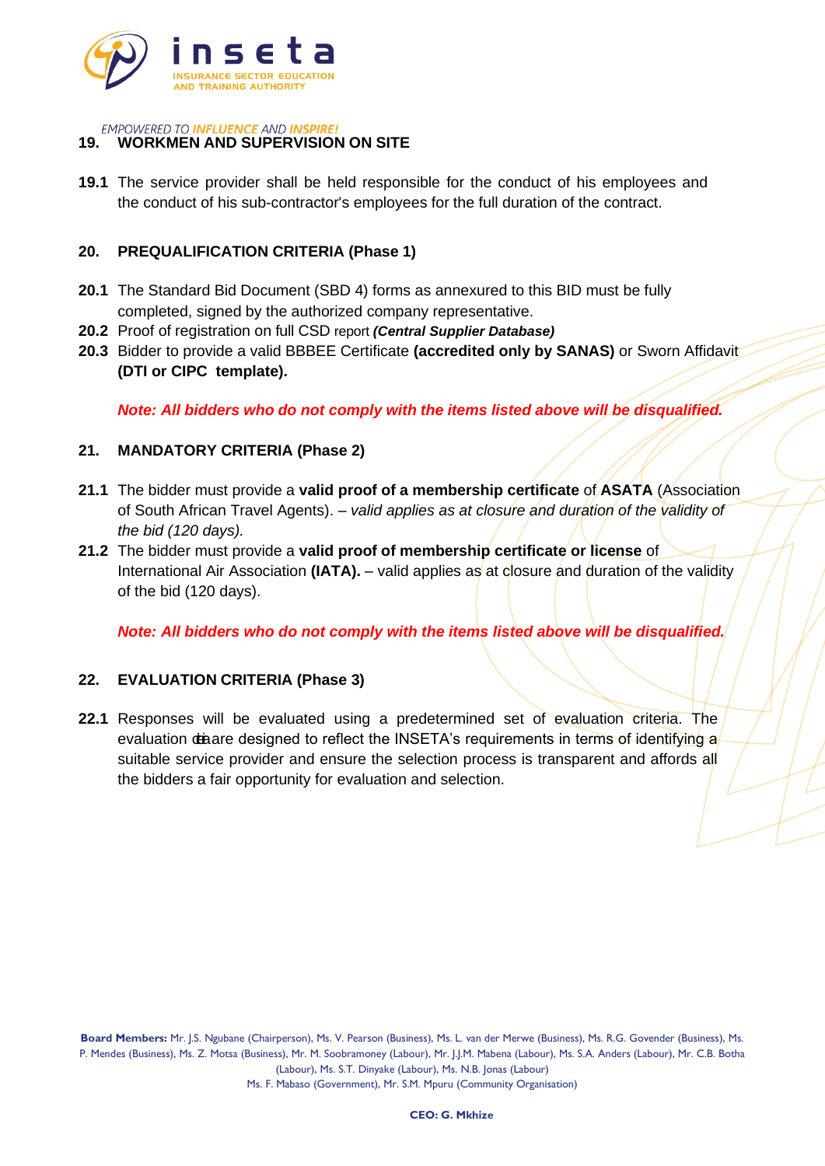

# **19. WORKMEN AND SUPERVISION ON SITE**

**19.1** The service provider shall be held responsible for the conduct of his employees and the conduct of his sub-contractor's employees for the full duration of the contract.

## **20. PREQUALIFICATION CRITERIA (Phase 1)**

- **20.1** The Standard Bid Document (SBD 4) forms as annexured to this BID must be fully completed, signed by the authorized company representative.
- **20.2** Proof of registration on full CSD report *(Central Supplier Database)*
- **20.3** Bidder to provide a valid BBBEE Certificate **(accredited only by SANAS)** or Sworn Affidavit **(DTI or CIPC template).**

*Note: All bidders who do not comply with the items listed above will be disqualified.*

## **21. MANDATORY CRITERIA (Phase 2)**

- **21.1** The bidder must provide a **valid proof of a membership certificate** of **ASATA** (Association of South African Travel Agents). *– valid applies as at closure and duration of the validity of the bid (120 days).*
- **21.2** The bidder must provide a **valid proof of membership certificate or license** of International Air Association **(IATA).** – valid applies as at closure and duration of the validity of the bid (120 days).

*Note: All bidders who do not comply with the items listed above will be disqualified.*

## **22. EVALUATION CRITERIA (Phase 3)**

**22.1** Responses will be evaluated using a predetermined set of evaluation criteria. The evaluation deaare designed to reflect the INSETA's requirements in terms of identifying a suitable service provider and ensure the selection process is transparent and affords all the bidders a fair opportunity for evaluation and selection.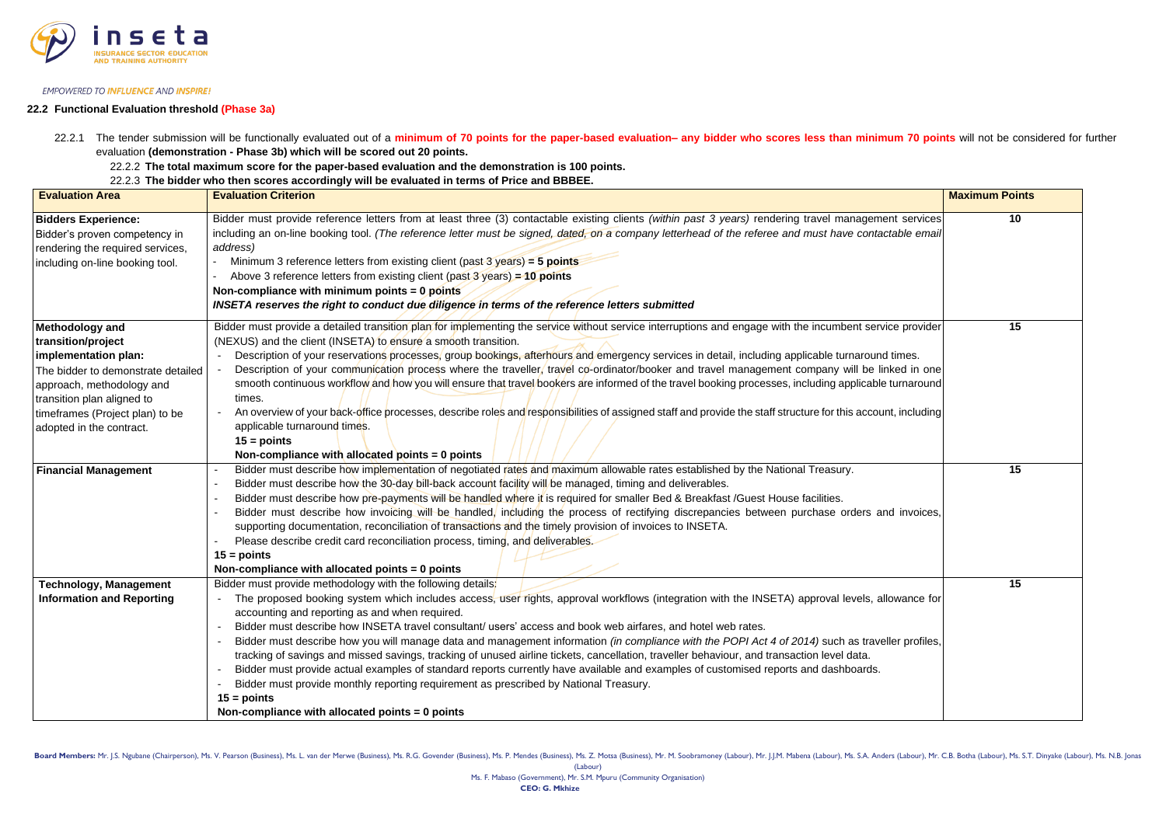

Board Members: Mr. J.S. Ngubane (Chairperson), Ms. V. Pearson (Business), Ms. L. van der Merwe (Business), Ms. R.G. Govender (Business), Ms. P. Mendes (Business), Ms. R. Motsa (Business), Ms. Z. Motsa (Business), Mr. M. So (Labour)

22.2.1 The tender submission will be functionally evaluated out of a minimum of 70 points for the paper-based evaluation- any bidder who scores less than minimum 70 points will not be considered for further evaluation **(demonstration - Phase 3b) which will be scored out 20 points.**

#### **22.2 Functional Evaluation threshold (Phase 3a)**

22.2.2 **The total maximum score for the paper-based evaluation and the demonstration is 100 points.** 

22.2.3 **The bidder who then scores accordingly will be evaluated in terms of Price and BBBEE.**

| <b>Evaluation Area</b>             | <b>Evaluation Criterion</b>                                                                                                                                                                                                  | <b>Maximum Points</b> |
|------------------------------------|------------------------------------------------------------------------------------------------------------------------------------------------------------------------------------------------------------------------------|-----------------------|
| <b>Bidders Experience:</b>         | Bidder must provide reference letters from at least three (3) contactable existing clients (within past 3 years) rendering travel management services                                                                        | 10                    |
| Bidder's proven competency in      | including an on-line booking tool. (The reference letter must be signed, dated, on a company letterhead of the referee and must have contactable email                                                                       |                       |
| rendering the required services,   | address)                                                                                                                                                                                                                     |                       |
| including on-line booking tool.    | Minimum 3 reference letters from existing client (past $3 \text{ years}$ ) = 5 points                                                                                                                                        |                       |
|                                    | Above 3 reference letters from existing client (past $3$ years) = 10 points                                                                                                                                                  |                       |
|                                    | Non-compliance with minimum points $= 0$ points                                                                                                                                                                              |                       |
|                                    | INSETA reserves the right to conduct due diligence in terms of the reference letters submitted                                                                                                                               |                       |
| <b>Methodology and</b>             | Bidder must provide a detailed transition plan for implementing the service without service interruptions and engage with the incumbent service provider                                                                     | 15                    |
| transition/project                 | (NEXUS) and the client (INSETA) to ensure a smooth transition.                                                                                                                                                               |                       |
| implementation plan:               | Description of your reservations processes, group bookings, afterhours and emergency services in detail, including applicable turnaround times.                                                                              |                       |
| The bidder to demonstrate detailed | Description of your communication process where the traveller, travel co-ordinator/booker and travel management company will be linked in one                                                                                |                       |
| approach, methodology and          | smooth continuous workflow and how you will ensure that travel bookers are informed of the travel booking processes, including applicable turnaround                                                                         |                       |
| transition plan aligned to         | times.                                                                                                                                                                                                                       |                       |
| timeframes (Project plan) to be    | An overview of your back-office processes, describe roles and responsibilities of assigned staff and provide the staff structure for this account, including                                                                 |                       |
| adopted in the contract.           | applicable turnaround times.<br>$15 = \text{points}$                                                                                                                                                                         |                       |
|                                    | Non-compliance with allocated points $= 0$ points                                                                                                                                                                            |                       |
| <b>Financial Management</b>        | Bidder must describe how implementation of negotiated rates and maximum allowable rates established by the National Treasury.                                                                                                | 15                    |
|                                    | Bidder must describe how the 30-day bill-back account facility will be managed, timing and deliverables.                                                                                                                     |                       |
|                                    | Bidder must describe how pre-payments will be handled where it is required for smaller Bed & Breakfast /Guest House facilities.                                                                                              |                       |
|                                    | Bidder must describe how invoicing will be handled, including the process of rectifying discrepancies between purchase orders and invoices,                                                                                  |                       |
|                                    | supporting documentation, reconciliation of transactions and the timely provision of invoices to INSETA.                                                                                                                     |                       |
|                                    | Please describe credit card reconciliation process, timing, and deliverables.                                                                                                                                                |                       |
|                                    | $15 = \text{points}$                                                                                                                                                                                                         |                       |
|                                    | Non-compliance with allocated points $= 0$ points                                                                                                                                                                            |                       |
| <b>Technology, Management</b>      | Bidder must provide methodology with the following details:                                                                                                                                                                  | 15                    |
| <b>Information and Reporting</b>   | The proposed booking system which includes access, user rights, approval workflows (integration with the INSETA) approval levels, allowance for                                                                              |                       |
|                                    | accounting and reporting as and when required.                                                                                                                                                                               |                       |
|                                    | Bidder must describe how INSETA travel consultant/ users' access and book web airfares, and hotel web rates.                                                                                                                 |                       |
|                                    | Bidder must describe how you will manage data and management information <i>(in compliance with the POPI Act 4 of 2014)</i> such as traveller profiles,                                                                      |                       |
|                                    | tracking of savings and missed savings, tracking of unused airline tickets, cancellation, traveller behaviour, and transaction level data.                                                                                   |                       |
|                                    | Bidder must provide actual examples of standard reports currently have available and examples of customised reports and dashboards.<br>Bidder must provide monthly reporting requirement as prescribed by National Treasury. |                       |
|                                    | $15 =$ points                                                                                                                                                                                                                |                       |
|                                    | Non-compliance with allocated points $= 0$ points                                                                                                                                                                            |                       |
|                                    |                                                                                                                                                                                                                              |                       |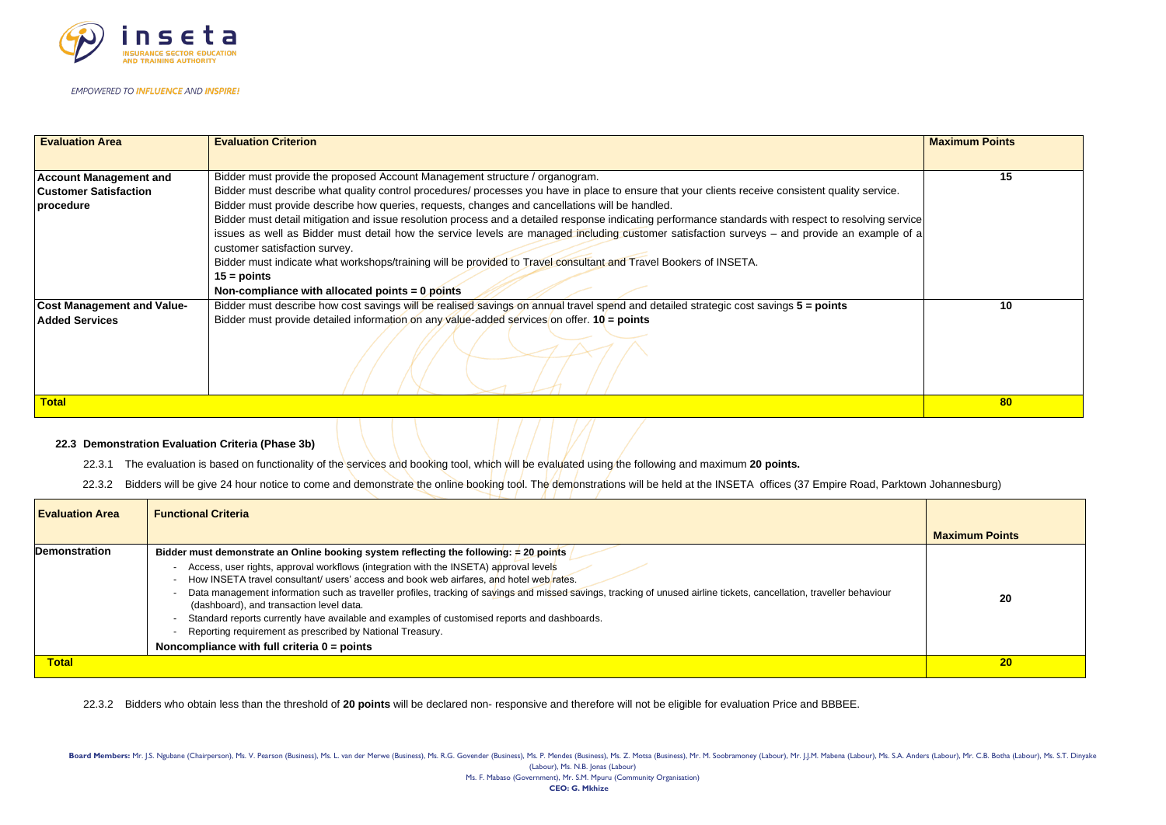

| <b>Evaluation Area</b>            | <b>Evaluation Criterion</b>                                                                                                                                                    | <b>Maximum Points</b> |
|-----------------------------------|--------------------------------------------------------------------------------------------------------------------------------------------------------------------------------|-----------------------|
| <b>Account Management and</b>     | Bidder must provide the proposed Account Management structure / organogram.                                                                                                    | 15                    |
| <b>Customer Satisfaction</b>      | Bidder must describe what quality control procedures/ processes you have in place to ensure that your clients receive consistent quality service.                              |                       |
| procedure                         | Bidder must provide describe how queries, requests, changes and cancellations will be handled.                                                                                 |                       |
|                                   | Bidder must detail mitigation and issue resolution process and a detailed response indicating performance standards with respect to resolving service                          |                       |
|                                   | issues as well as Bidder must detail how the service levels are managed including customer satisfaction surveys - and provide an example of a<br>customer satisfaction survey. |                       |
|                                   | Bidder must indicate what workshops/training will be provided to Travel consultant and Travel Bookers of INSETA.                                                               |                       |
|                                   | $15 = \text{points}$                                                                                                                                                           |                       |
|                                   | Non-compliance with allocated points $= 0$ points                                                                                                                              |                       |
| <b>Cost Management and Value-</b> | Bidder must describe how cost savings will be realised savings on annual travel spend and detailed strategic cost savings 5 = points                                           | 10                    |
| <b>Added Services</b>             | Bidder must provide detailed information on any value-added services on offer. $10 =$ points                                                                                   |                       |
|                                   |                                                                                                                                                                                |                       |
| <b>Total</b>                      |                                                                                                                                                                                | 80                    |
|                                   |                                                                                                                                                                                |                       |

|                        | <b>Maximum Points</b> |
|------------------------|-----------------------|
| ice.                   | 15                    |
| g service<br>nple of a |                       |
|                        | 10                    |
|                        | 80                    |

#### **22.3 Demonstration Evaluation Criteria (Phase 3b)**

22.3.1 The evaluation is based on functionality of the services and booking tool, which will be evaluated using the following and maximum **20 points.**

22.3.2 Bidders will be give 24 hour notice to come and demonstrate the online booking tool. The demonstrations will be held at the INSETA offices (37 Empire Road, Parktown Johannesburg)

| <b>Evaluation Area</b> | <b>Functional Criteria</b>                                                                                                                                                                                                                                                                                                                                                                                                                                                                                                                                                                                          |                       |
|------------------------|---------------------------------------------------------------------------------------------------------------------------------------------------------------------------------------------------------------------------------------------------------------------------------------------------------------------------------------------------------------------------------------------------------------------------------------------------------------------------------------------------------------------------------------------------------------------------------------------------------------------|-----------------------|
|                        |                                                                                                                                                                                                                                                                                                                                                                                                                                                                                                                                                                                                                     | <b>Maximum Points</b> |
| <b>Demonstration</b>   | Bidder must demonstrate an Online booking system reflecting the following: $\neq$ 20 points /                                                                                                                                                                                                                                                                                                                                                                                                                                                                                                                       |                       |
|                        | Access, user rights, approval workflows (integration with the INSETA) approval levels<br>How INSETA travel consultant/ users' access and book web airfares, and hotel web rates.<br>Data management information such as traveller profiles, tracking of savings and missed savings, tracking of unused airline tickets, cancellation, traveller behaviour<br>(dashboard), and transaction level data.<br>Standard reports currently have available and examples of customised reports and dashboards.<br>Reporting requirement as prescribed by National Treasury.<br>Noncompliance with full criteria $0 =$ points | 20                    |
|                        |                                                                                                                                                                                                                                                                                                                                                                                                                                                                                                                                                                                                                     |                       |
| <b>Total</b>           |                                                                                                                                                                                                                                                                                                                                                                                                                                                                                                                                                                                                                     | 20                    |

22.3.2 Bidders who obtain less than the threshold of **20 points** will be declared non- responsive and therefore will not be eligible for evaluation Price and BBBEE.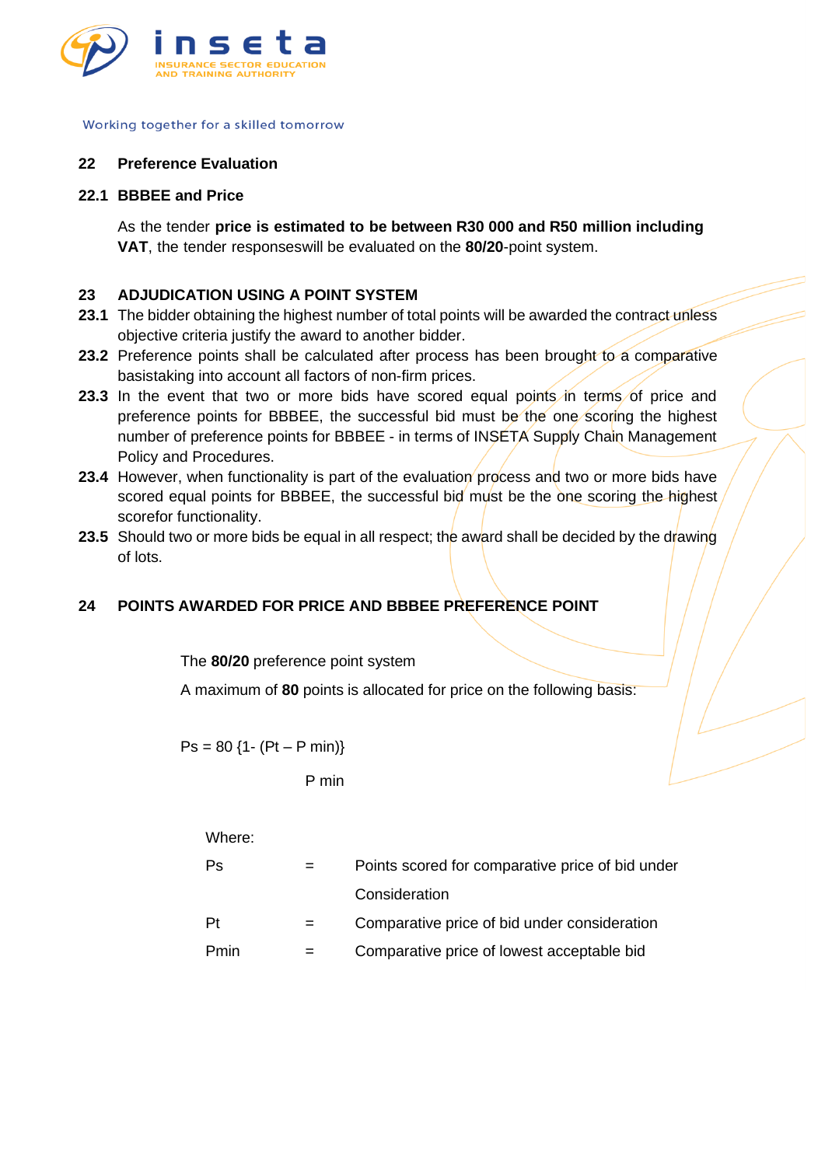

#### **22 Preference Evaluation**

#### **22.1 BBBEE and Price**

As the tender **price is estimated to be between R30 000 and R50 million including VAT**, the tender responseswill be evaluated on the **80/20**-point system.

## **23 ADJUDICATION USING A POINT SYSTEM**

- 23.1 The bidder obtaining the highest number of total points will be awarded the contract unless objective criteria justify the award to another bidder.
- 23.2 Preference points shall be calculated after process has been brought to a comparative basistaking into account all factors of non-firm prices.
- **23.3** In the event that two or more bids have scored equal points in terms of price and preference points for BBBEE, the successful bid must be the one scoring the highest number of preference points for BBBEE - in terms of INSETA Supply Chain Management Policy and Procedures.
- **23.4** However, when functionality is part of the evaluation process and two or more bids have scored equal points for BBBEE, the successful bid must be the one scoring the highest scorefor functionality.
- **23.5** Should two or more bids be equal in all respect; the award shall be decided by the drawing of lots.

# **24 POINTS AWARDED FOR PRICE AND BBBEE PREFERENCE POINT**

The **80/20** preference point system

A maximum of **80** points is allocated for price on the following basis:

 $Ps = 80$  {1- (Pt – P min)}

## P min

#### Where:

| Ps   | Points scored for comparative price of bid under |
|------|--------------------------------------------------|
|      | Consideration                                    |
| Pt   | Comparative price of bid under consideration     |
| Pmin | Comparative price of lowest acceptable bid       |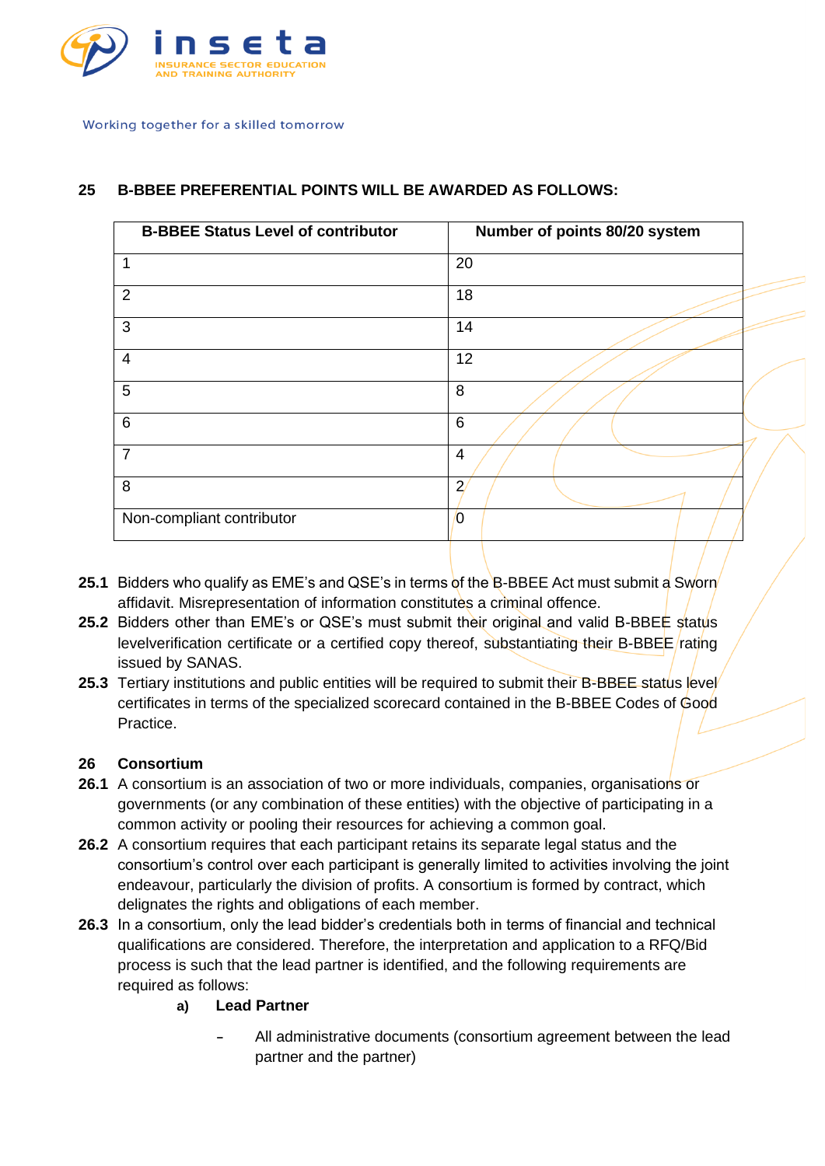

# **25 B-BBEE PREFERENTIAL POINTS WILL BE AWARDED AS FOLLOWS:**

| <b>B-BBEE Status Level of contributor</b> | Number of points 80/20 system |
|-------------------------------------------|-------------------------------|
| 1                                         | 20                            |
| $\overline{2}$                            | 18                            |
| 3                                         | 14                            |
| $\overline{4}$                            | 12                            |
| 5                                         | 8                             |
| $\,6\,$                                   | 6                             |
| 7                                         | 4                             |
| 8                                         | $\overline{2}$                |
| Non-compliant contributor                 | 0                             |
|                                           |                               |

- **25.1** Bidders who qualify as EME's and QSE's in terms of the B-BBEE Act must submit a Sworn affidavit. Misrepresentation of information constitutes a criminal offence.
- **25.2** Bidders other than EME's or QSE's must submit their original and valid B-BBEE status levelverification certificate or a certified copy thereof, substantiating their B-BBEE rating issued by SANAS.
- **25.3** Tertiary institutions and public entities will be required to submit their B-BBEE status level certificates in terms of the specialized scorecard contained in the B-BBEE Codes of Good Practice.

## **26 Consortium**

- **26.1** A consortium is an association of two or more individuals, companies, organisations or governments (or any combination of these entities) with the objective of participating in a common activity or pooling their resources for achieving a common goal.
- **26.2** A consortium requires that each participant retains its separate legal status and the consortium's control over each participant is generally limited to activities involving the joint endeavour, particularly the division of profits. A consortium is formed by contract, which delignates the rights and obligations of each member.
- **26.3** In a consortium, only the lead bidder's credentials both in terms of financial and technical qualifications are considered. Therefore, the interpretation and application to a RFQ/Bid process is such that the lead partner is identified, and the following requirements are required as follows:
	- **a) Lead Partner**
		- **-** All administrative documents (consortium agreement between the lead partner and the partner)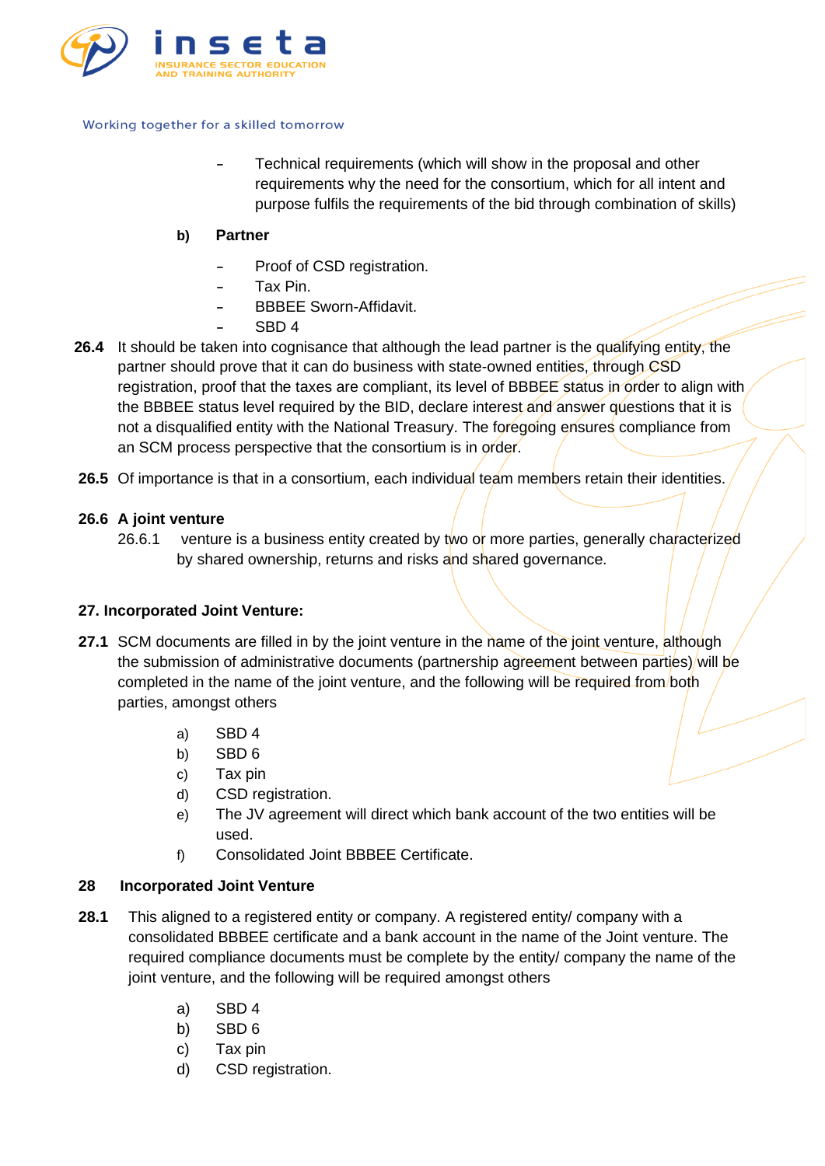

**-** Technical requirements (which will show in the proposal and other requirements why the need for the consortium, which for all intent and purpose fulfils the requirements of the bid through combination of skills)

# **b) Partner**

- **-** Proof of CSD registration.
- **-** Tax Pin.
- **-** BBBEE Sworn-Affidavit.
- **-** SBD 4
- 26.4 It should be taken into cognisance that although the lead partner is the qualifying entity, the partner should prove that it can do business with state-owned entities, through CSD registration, proof that the taxes are compliant, its level of BBBEE status in order to align with the BBBEE status level required by the BID, declare interest and answer questions that it is not a disqualified entity with the National Treasury. The foregoing ensures compliance from an SCM process perspective that the consortium is in order.
- **26.5** Of importance is that in a consortium, each individual team members retain their identities.

## **26.6 A joint venture**

26.6.1 venture is a business entity created by two or more parties, generally characterized by shared ownership, returns and risks and shared governance.

# **27. Incorporated Joint Venture:**

- **27.1** SCM documents are filled in by the joint venture in the name of the joint venture, although the submission of administrative documents (partnership agreement between parties) will be completed in the name of the joint venture, and the following will be required from both parties, amongst others
	- a) SBD 4
	- b) SBD 6
	- c) Tax pin
	- d) CSD registration.
	- e) The JV agreement will direct which bank account of the two entities will be used.
	- f) Consolidated Joint BBBEE Certificate.

# **28 Incorporated Joint Venture**

- **28.1** This aligned to a registered entity or company. A registered entity/ company with a consolidated BBBEE certificate and a bank account in the name of the Joint venture. The required compliance documents must be complete by the entity/ company the name of the joint venture, and the following will be required amongst others
	- a) SBD 4
	- b) SBD 6
	- c) Tax pin
	- d) CSD registration.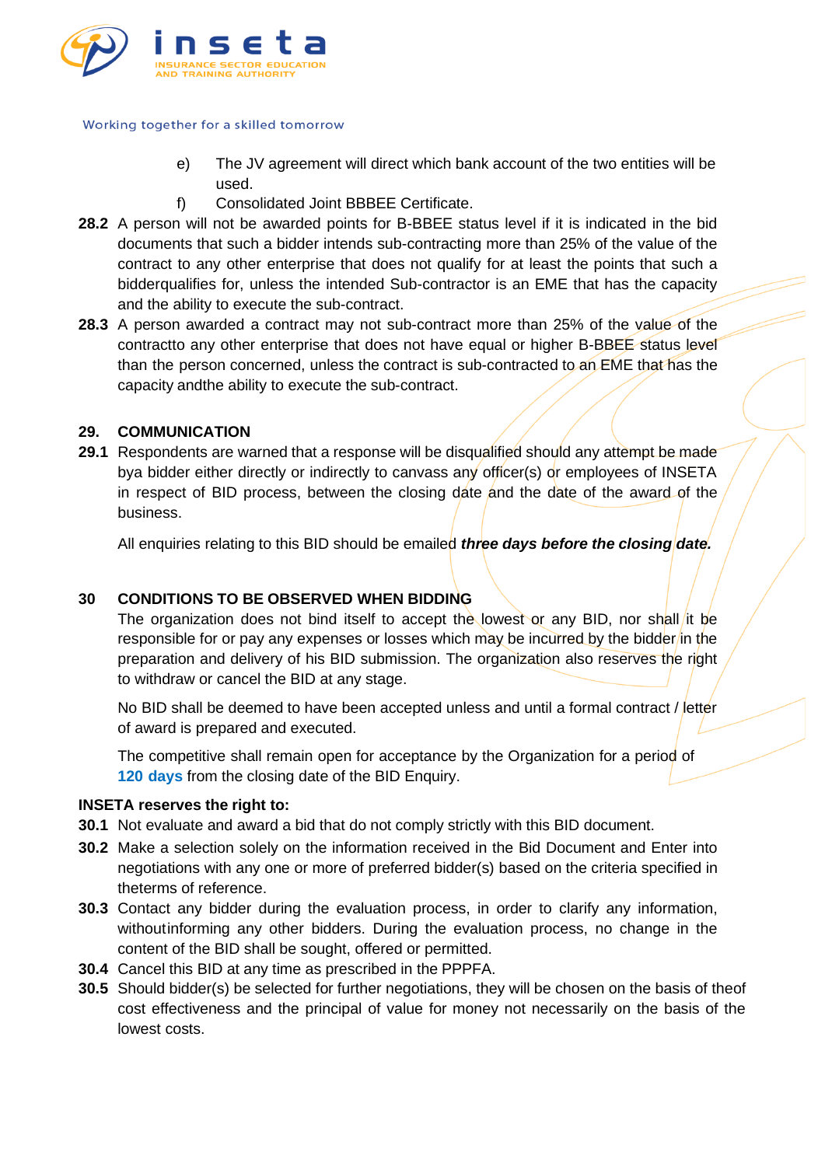

- e) The JV agreement will direct which bank account of the two entities will be used.
- f) Consolidated Joint BBBEE Certificate.
- **28.2** A person will not be awarded points for B-BBEE status level if it is indicated in the bid documents that such a bidder intends sub-contracting more than 25% of the value of the contract to any other enterprise that does not qualify for at least the points that such a bidderqualifies for, unless the intended Sub-contractor is an EME that has the capacity and the ability to execute the sub-contract.
- **28.3** A person awarded a contract may not sub-contract more than 25% of the value of the contractto any other enterprise that does not have equal or higher B-BBEE status level than the person concerned, unless the contract is sub-contracted to an EME that has the capacity andthe ability to execute the sub-contract.

## **29. COMMUNICATION**

**29.1** Respondents are warned that a response will be disqualified should any attempt be made bya bidder either directly or indirectly to canvass any officer(s) or employees of INSETA in respect of BID process, between the closing date and the date of the award of the business.

All enquiries relating to this BID should be emailed *three days before the closing date.*

# **30 CONDITIONS TO BE OBSERVED WHEN BIDDING**

The organization does not bind itself to accept the lowest or any BID, nor shall it be responsible for or pay any expenses or losses which may be incurred by the bidder/in the preparation and delivery of his BID submission. The organization also reserves the right to withdraw or cancel the BID at any stage.

No BID shall be deemed to have been accepted unless and until a formal contract / letter of award is prepared and executed.

The competitive shall remain open for acceptance by the Organization for a period of **120 days** from the closing date of the BID Enquiry.

## **INSETA reserves the right to:**

- **30.1** Not evaluate and award a bid that do not comply strictly with this BID document.
- **30.2** Make a selection solely on the information received in the Bid Document and Enter into negotiations with any one or more of preferred bidder(s) based on the criteria specified in theterms of reference.
- **30.3** Contact any bidder during the evaluation process, in order to clarify any information, withoutinforming any other bidders. During the evaluation process, no change in the content of the BID shall be sought, offered or permitted.
- **30.4** Cancel this BID at any time as prescribed in the PPPFA.
- **30.5** Should bidder(s) be selected for further negotiations, they will be chosen on the basis of theof cost effectiveness and the principal of value for money not necessarily on the basis of the lowest costs.